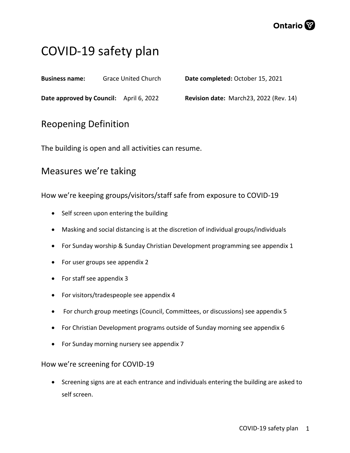

# COVID-19 safety plan

**Business name:** Grace United Church

**Date completed:** October 15, 2021

**Date approved by Council:** April 6, 2022

**Revision date:** March23, 2022 (Rev. 14)

# Reopening Definition

The building is open and all activities can resume.

# Measures we're taking

How we're keeping groups/visitors/staff safe from exposure to COVID-19

- Self screen upon entering the building
- Masking and social distancing is at the discretion of individual groups/individuals
- For Sunday worship & Sunday Christian Development programming see appendix 1
- For user groups see appendix 2
- For staff see appendix 3
- For visitors/tradespeople see appendix 4
- For church group meetings (Council, Committees, or discussions) see appendix 5
- For Christian Development programs outside of Sunday morning see appendix 6
- For Sunday morning nursery see appendix 7

# How we're screening for COVID-19

• Screening signs are at each entrance and individuals entering the building are asked to self screen.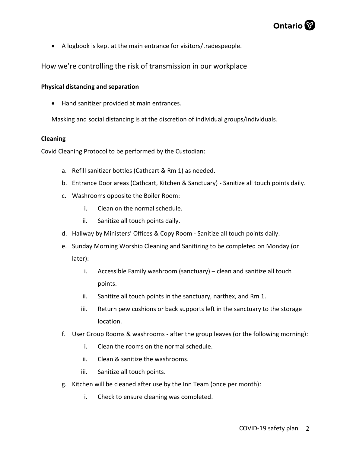

• A logbook is kept at the main entrance for visitors/tradespeople.

How we're controlling the risk of transmission in our workplace

# **Physical distancing and separation**

• Hand sanitizer provided at main entrances.

Masking and social distancing is at the discretion of individual groups/individuals.

### **Cleaning**

Covid Cleaning Protocol to be performed by the Custodian:

- a. Refill sanitizer bottles (Cathcart & Rm 1) as needed.
- b. Entrance Door areas (Cathcart, Kitchen & Sanctuary) Sanitize all touch points daily.
- c. Washrooms opposite the Boiler Room:
	- i. Clean on the normal schedule.
	- ii. Sanitize all touch points daily.
- d. Hallway by Ministers' Offices & Copy Room Sanitize all touch points daily.
- e. Sunday Morning Worship Cleaning and Sanitizing to be completed on Monday (or later):
	- i. Accessible Family washroom (sanctuary) clean and sanitize all touch points.
	- ii. Sanitize all touch points in the sanctuary, narthex, and Rm 1.
	- iii. Return pew cushions or back supports left in the sanctuary to the storage location.
- f. User Group Rooms & washrooms after the group leaves (or the following morning):
	- i. Clean the rooms on the normal schedule.
	- ii. Clean & sanitize the washrooms.
	- iii. Sanitize all touch points.
- g. Kitchen will be cleaned after use by the Inn Team (once per month):
	- i. Check to ensure cleaning was completed.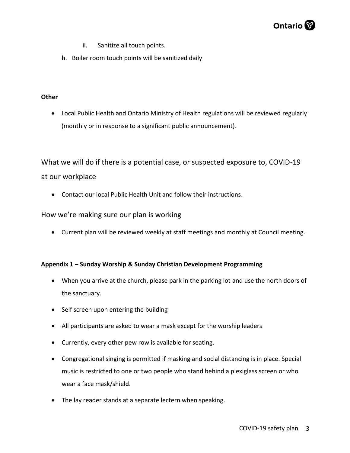# Ontario<sup>®</sup>

- ii. Sanitize all touch points.
- h. Boiler room touch points will be sanitized daily

# **Other**

• Local Public Health and Ontario Ministry of Health regulations will be reviewed regularly (monthly or in response to a significant public announcement).

What we will do if there is a potential case, or suspected exposure to, COVID-19 at our workplace

• Contact our local Public Health Unit and follow their instructions.

# How we're making sure our plan is working

• Current plan will be reviewed weekly at staff meetings and monthly at Council meeting.

# **Appendix 1 – Sunday Worship & Sunday Christian Development Programming**

- When you arrive at the church, please park in the parking lot and use the north doors of the sanctuary.
- Self screen upon entering the building
- All participants are asked to wear a mask except for the worship leaders
- Currently, every other pew row is available for seating.
- Congregational singing is permitted if masking and social distancing is in place. Special music is restricted to one or two people who stand behind a plexiglass screen or who wear a face mask/shield.
- The lay reader stands at a separate lectern when speaking.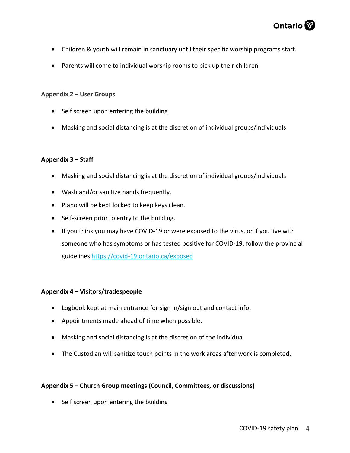

- Children & youth will remain in sanctuary until their specific worship programs start.
- Parents will come to individual worship rooms to pick up their children.

### **Appendix 2 – User Groups**

- Self screen upon entering the building
- Masking and social distancing is at the discretion of individual groups/individuals

### **Appendix 3 – Staff**

- Masking and social distancing is at the discretion of individual groups/individuals
- Wash and/or sanitize hands frequently.
- Piano will be kept locked to keep keys clean.
- Self-screen prior to entry to the building.
- If you think you may have COVID-19 or were exposed to the virus, or if you live with someone who has symptoms or has tested positive for COVID-19, follow the provincial guidelines<https://covid-19.ontario.ca/exposed>

#### **Appendix 4 – Visitors/tradespeople**

- Logbook kept at main entrance for sign in/sign out and contact info.
- Appointments made ahead of time when possible.
- Masking and social distancing is at the discretion of the individual
- The Custodian will sanitize touch points in the work areas after work is completed.

# **Appendix 5 – Church Group meetings (Council, Committees, or discussions)**

• Self screen upon entering the building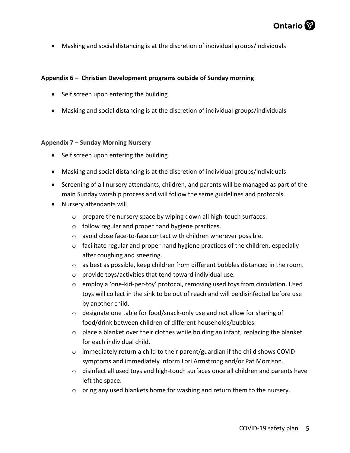

• Masking and social distancing is at the discretion of individual groups/individuals

## **Appendix 6 – Christian Development programs outside of Sunday morning**

- Self screen upon entering the building
- Masking and social distancing is at the discretion of individual groups/individuals

### **Appendix 7 – Sunday Morning Nursery**

- Self screen upon entering the building
- Masking and social distancing is at the discretion of individual groups/individuals
- Screening of all nursery attendants, children, and parents will be managed as part of the main Sunday worship process and will follow the same guidelines and protocols.
- Nursery attendants will
	- o prepare the nursery space by wiping down all high-touch surfaces.
	- o follow regular and proper hand hygiene practices.
	- o avoid close face-to-face contact with children wherever possible.
	- $\circ$  facilitate regular and proper hand hygiene practices of the children, especially after coughing and sneezing.
	- $\circ$  as best as possible, keep children from different bubbles distanced in the room.
	- o provide toys/activities that tend toward individual use.
	- o employ a 'one-kid-per-toy' protocol, removing used toys from circulation. Used toys will collect in the sink to be out of reach and will be disinfected before use by another child.
	- o designate one table for food/snack-only use and not allow for sharing of food/drink between children of different households/bubbles.
	- $\circ$  place a blanket over their clothes while holding an infant, replacing the blanket for each individual child.
	- $\circ$  immediately return a child to their parent/guardian if the child shows COVID symptoms and immediately inform Lori Armstrong and/or Pat Morrison.
	- o disinfect all used toys and high-touch surfaces once all children and parents have left the space.
	- $\circ$  bring any used blankets home for washing and return them to the nursery.